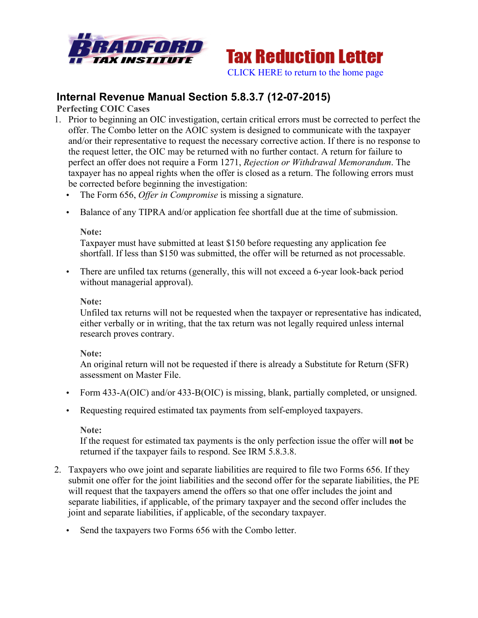



# **Internal Revenue Manual Section 5.8.3.7 (12-07-2015)**

**Perfecting COIC Cases**

- 1. Prior to beginning an OIC investigation, certain critical errors must be corrected to perfect the offer. The Combo letter on the AOIC system is designed to communicate with the taxpayer and/or their representative to request the necessary corrective action. If there is no response to the request letter, the OIC may be returned with no further contact. A return for failure to perfect an offer does not require a Form 1271, *Rejection or Withdrawal Memorandum*. The taxpayer has no appeal rights when the offer is closed as a return. The following errors must be corrected before beginning the investigation:
	- The Form 656, *Offer in Compromise* is missing a signature.
	- Balance of any TIPRA and/or application fee shortfall due at the time of submission.

#### **Note:**

Taxpayer must have submitted at least \$150 before requesting any application fee shortfall. If less than \$150 was submitted, the offer will be returned as not processable.

• There are unfiled tax returns (generally, this will not exceed a 6-year look-back period without managerial approval).

### **Note:**

Unfiled tax returns will not be requested when the taxpayer or representative has indicated, either verbally or in writing, that the tax return was not legally required unless internal research proves contrary.

#### **Note:**

An original return will not be requested if there is already a Substitute for Return (SFR) assessment on Master File.

- Form 433-A(OIC) and/or 433-B(OIC) is missing, blank, partially completed, or unsigned.
- Requesting required estimated tax payments from self-employed taxpayers.

#### **Note:**

If the request for estimated tax payments is the only perfection issue the offer will **not** be returned if the taxpayer fails to respond. See IRM 5.8.3.8.

- 2. Taxpayers who owe joint and separate liabilities are required to file two Forms 656. If they submit one offer for the joint liabilities and the second offer for the separate liabilities, the PE will request that the taxpayers amend the offers so that one offer includes the joint and separate liabilities, if applicable, of the primary taxpayer and the second offer includes the joint and separate liabilities, if applicable, of the secondary taxpayer.
	- Send the taxpayers two Forms 656 with the Combo letter.